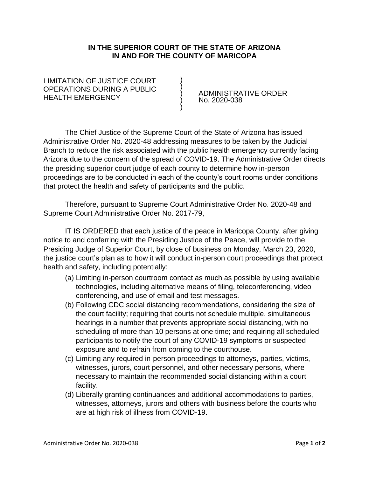## **IN THE SUPERIOR COURT OF THE STATE OF ARIZONA IN AND FOR THE COUNTY OF MARICOPA**

) ) ) ) )

## LIMITATION OF JUSTICE COURT OPERATIONS DURING A PUBLIC HEALTH EMERGENCY

 ADMINISTRATIVE ORDER No. 2020-038

The Chief Justice of the Supreme Court of the State of Arizona has issued Administrative Order No. 2020-48 addressing measures to be taken by the Judicial Branch to reduce the risk associated with the public health emergency currently facing Arizona due to the concern of the spread of COVID-19. The Administrative Order directs the presiding superior court judge of each county to determine how in-person proceedings are to be conducted in each of the county's court rooms under conditions that protect the health and safety of participants and the public.

Therefore, pursuant to Supreme Court Administrative Order No. 2020-48 and Supreme Court Administrative Order No. 2017-79,

IT IS ORDERED that each justice of the peace in Maricopa County, after giving notice to and conferring with the Presiding Justice of the Peace, will provide to the Presiding Judge of Superior Court, by close of business on Monday, March 23, 2020, the justice court's plan as to how it will conduct in-person court proceedings that protect health and safety, including potentially:

- (a) Limiting in-person courtroom contact as much as possible by using available technologies, including alternative means of filing, teleconferencing, video conferencing, and use of email and test messages.
- (b) Following CDC social distancing recommendations, considering the size of the court facility; requiring that courts not schedule multiple, simultaneous hearings in a number that prevents appropriate social distancing, with no scheduling of more than 10 persons at one time; and requiring all scheduled participants to notify the court of any COVID-19 symptoms or suspected exposure and to refrain from coming to the courthouse.
- (c) Limiting any required in-person proceedings to attorneys, parties, victims, witnesses, jurors, court personnel, and other necessary persons, where necessary to maintain the recommended social distancing within a court facility.
- (d) Liberally granting continuances and additional accommodations to parties, witnesses, attorneys, jurors and others with business before the courts who are at high risk of illness from COVID-19.